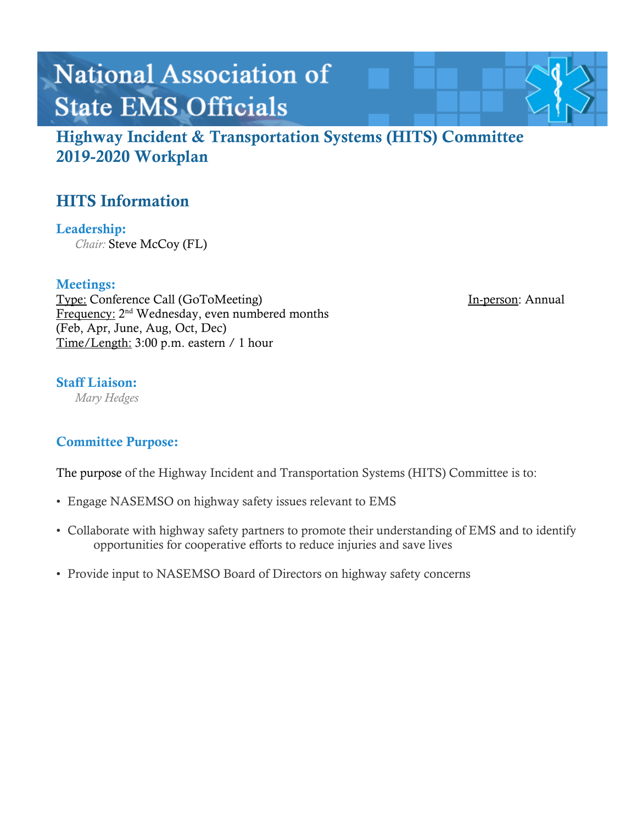# **National Association of State EMS Officials**

Highway Incident & Transportation Systems (HITS) Committee 2019-2020 Workplan

# HITS Information

Leadership: *Chair:* Steve McCoy (FL)

### Meetings:

Type: Conference Call (GoToMeeting) In-person: Annual Frequency: 2<sup>nd</sup> Wednesday, even numbered months (Feb, Apr, June, Aug, Oct, Dec) Time/Length: 3:00 p.m. eastern / 1 hour

### Staff Liaison:

*Mary Hedges*

### Committee Purpose:

The purpose of the Highway Incident and Transportation Systems (HITS) Committee is to:

- Engage NASEMSO on highway safety issues relevant to EMS
- Collaborate with highway safety partners to promote their understanding of EMS and to identify opportunities for cooperative efforts to reduce injuries and save lives
- Provide input to NASEMSO Board of Directors on highway safety concerns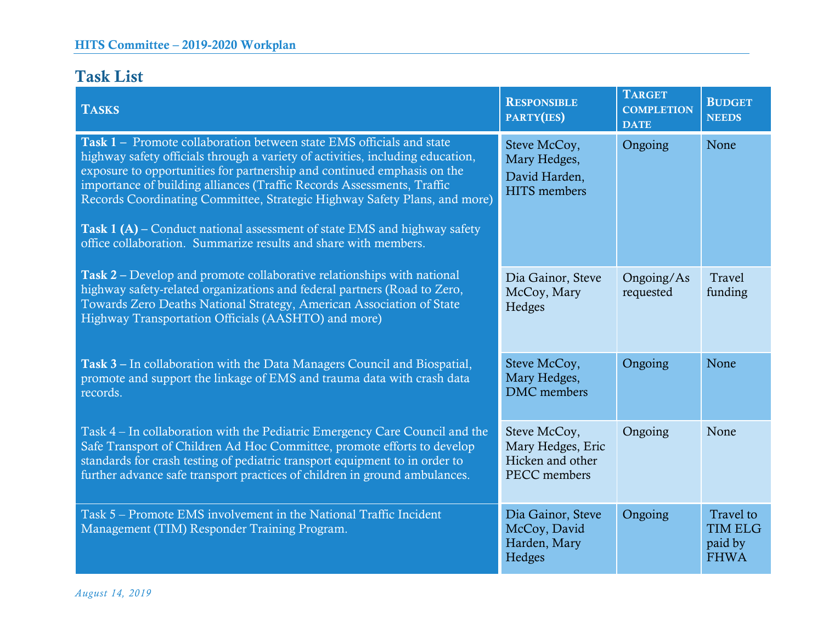# Task List

| <b>TASKS</b>                                                                                                                                                                                                                                                                                                                                                                                                                                                                                                                                          | <b>RESPONSIBLE</b><br>PARTY(IES)                                      | <b>TARGET</b><br><b>COMPLETION</b><br><b>DATE</b> | <b>BUDGET</b><br><b>NEEDS</b>                         |
|-------------------------------------------------------------------------------------------------------------------------------------------------------------------------------------------------------------------------------------------------------------------------------------------------------------------------------------------------------------------------------------------------------------------------------------------------------------------------------------------------------------------------------------------------------|-----------------------------------------------------------------------|---------------------------------------------------|-------------------------------------------------------|
| <b>Task 1 – Promote collaboration between state EMS officials and state</b><br>highway safety officials through a variety of activities, including education,<br>exposure to opportunities for partnership and continued emphasis on the<br>importance of building alliances (Traffic Records Assessments, Traffic<br>Records Coordinating Committee, Strategic Highway Safety Plans, and more)<br><b>Task 1 (A)</b> – Conduct national assessment of state EMS and highway safety<br>office collaboration. Summarize results and share with members. | Steve McCoy,<br>Mary Hedges,<br>David Harden,<br><b>HITS</b> members  | Ongoing                                           | None                                                  |
| Task 2 – Develop and promote collaborative relationships with national<br>highway safety-related organizations and federal partners (Road to Zero,<br>Towards Zero Deaths National Strategy, American Association of State<br>Highway Transportation Officials (AASHTO) and more)                                                                                                                                                                                                                                                                     | Dia Gainor, Steve<br>McCoy, Mary<br>Hedges                            | Ongoing/As<br>requested                           | Travel<br>funding                                     |
| <b>Task 3 – In collaboration with the Data Managers Council and Biospatial,</b><br>promote and support the linkage of EMS and trauma data with crash data<br>records.                                                                                                                                                                                                                                                                                                                                                                                 | Steve McCoy,<br>Mary Hedges,<br><b>DMC</b> members                    | Ongoing                                           | None                                                  |
| Task 4 – In collaboration with the Pediatric Emergency Care Council and the<br>Safe Transport of Children Ad Hoc Committee, promote efforts to develop<br>standards for crash testing of pediatric transport equipment to in order to<br>further advance safe transport practices of children in ground ambulances.                                                                                                                                                                                                                                   | Steve McCoy,<br>Mary Hedges, Eric<br>Hicken and other<br>PECC members | Ongoing                                           | None                                                  |
| Task 5 – Promote EMS involvement in the National Traffic Incident<br>Management (TIM) Responder Training Program.                                                                                                                                                                                                                                                                                                                                                                                                                                     | Dia Gainor, Steve<br>McCoy, David<br>Harden, Mary<br>Hedges           | Ongoing                                           | Travel to<br><b>TIM ELG</b><br>paid by<br><b>FHWA</b> |